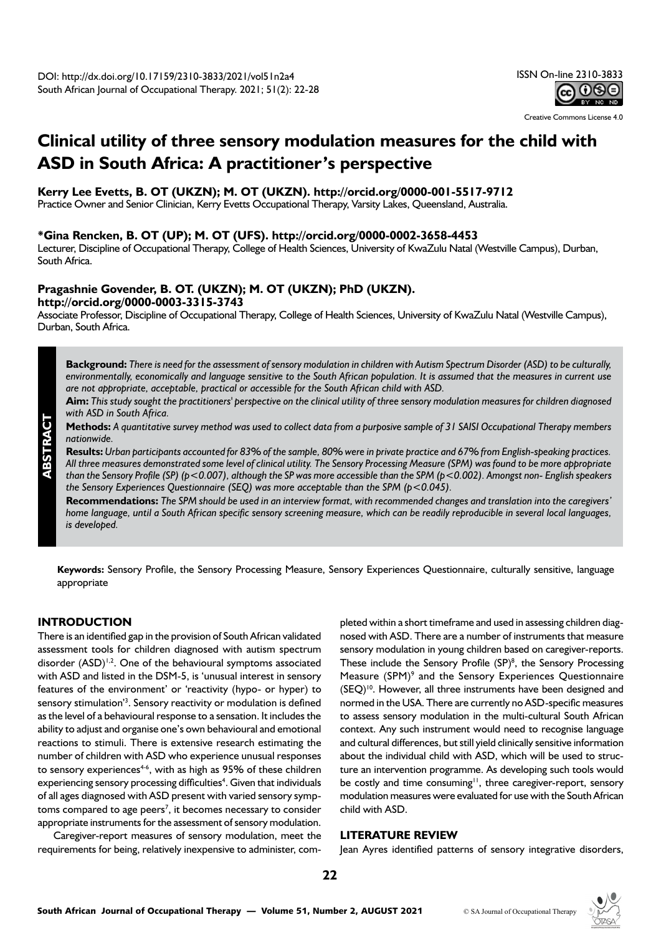Creative Commons License 4.0

# **Clinical utility of three sensory modulation measures for the child with ASD in South Africa: A practitioner's perspective**

**Kerry Lee Evetts, B. OT (UKZN); M. OT (UKZN). http://orcid.org/0000-001-5517-9712**

Practice Owner and Senior Clinician, Kerry Evetts Occupational Therapy, Varsity Lakes, Queensland, Australia.

# **\*Gina Rencken, B. OT (UP); M. OT (UFS). http://orcid.org/0000-0002-3658-4453**

Lecturer, Discipline of Occupational Therapy, College of Health Sciences, University of KwaZulu Natal (Westville Campus), Durban, South Africa.

# **Pragashnie Govender, B. OT. (UKZN); M. OT (UKZN); PhD (UKZN). http://orcid.org/0000-0003-3315-3743**

Associate Professor, Discipline of Occupational Therapy, College of Health Sciences, University of KwaZulu Natal (Westville Campus), Durban, South Africa.

**Background:** *There is need for the assessment of sensory modulation in children with Autism Spectrum Disorder (ASD) to be culturally, environmentally, economically and language sensitive to the South African population. It is assumed that the measures in current use are not appropriate, acceptable, practical or accessible for the South African child with ASD.*

**Aim:** *This study sought the practitioners' perspective on the clinical utility of three sensory modulation measures for children diagnosed with ASD in South Africa.*

**Methods:** *A quantitative survey method was used to collect data from a purposive sample of 31 SAISI Occupational Therapy members nationwide.* 

**Results:** *Urban participants accounted for 83% of the sample, 80% were in private practice and 67% from English-speaking practices. All three measures demonstrated some level of clinical utility. The Sensory Processing Measure (SPM) was found to be more appropriate than the Sensory Profile (SP) (p<0.007), although the SP was more accessible than the SPM (p<0.002). Amongst non- English speakers the Sensory Experiences Questionnaire (SEQ) was more acceptable than the SPM (p<0.045).* 

**Recommendations:** *The SPM should be used in an interview format, with recommended changes and translation into the caregivers' home language, until a South African specific sensory screening measure, which can be readily reproducible in several local languages, is developed.*

**Keywords:** Sensory Profile, the Sensory Processing Measure, Sensory Experiences Questionnaire, culturally sensitive, language appropriate

# **INTRODUCTION**

**ABSTRACT**

There is an identified gap in the provision of South African validated assessment tools for children diagnosed with autism spectrum disorder  $(ASD)^{1,2}$ . One of the behavioural symptoms associated with ASD and listed in the DSM-5, is 'unusual interest in sensory features of the environment' or 'reactivity (hypo- or hyper) to sensory stimulation<sup>'3</sup>. Sensory reactivity or modulation is defined as the level of a behavioural response to a sensation. It includes the ability to adjust and organise one's own behavioural and emotional reactions to stimuli. There is extensive research estimating the number of children with ASD who experience unusual responses to sensory experiences<sup>4-6</sup>, with as high as  $95\%$  of these children experiencing sensory processing difficulties<sup>4</sup>. Given that individuals of all ages diagnosed with ASD present with varied sensory symptoms compared to age peers<sup>7</sup>, it becomes necessary to consider appropriate instruments for the assessment of sensory modulation.

Caregiver-report measures of sensory modulation, meet the requirements for being, relatively inexpensive to administer, com-

pleted within a short timeframe and used in assessing children diagnosed with ASD. There are a number of instruments that measure sensory modulation in young children based on caregiver-reports. These include the Sensory Profile  $(SP)^8$ , the Sensory Processing Measure (SPM)<sup>9</sup> and the Sensory Experiences Questionnaire (SEQ)10. However, all three instruments have been designed and normed in the USA. There are currently no ASD-specific measures to assess sensory modulation in the multi-cultural South African context. Any such instrument would need to recognise language and cultural differences, but still yield clinically sensitive information about the individual child with ASD, which will be used to structure an intervention programme. As developing such tools would be costly and time consuming<sup>11</sup>, three caregiver-report, sensory modulation measures were evaluated for use with the South African child with ASD.

# **LITERATURE REVIEW**

Jean Ayres identified patterns of sensory integrative disorders,

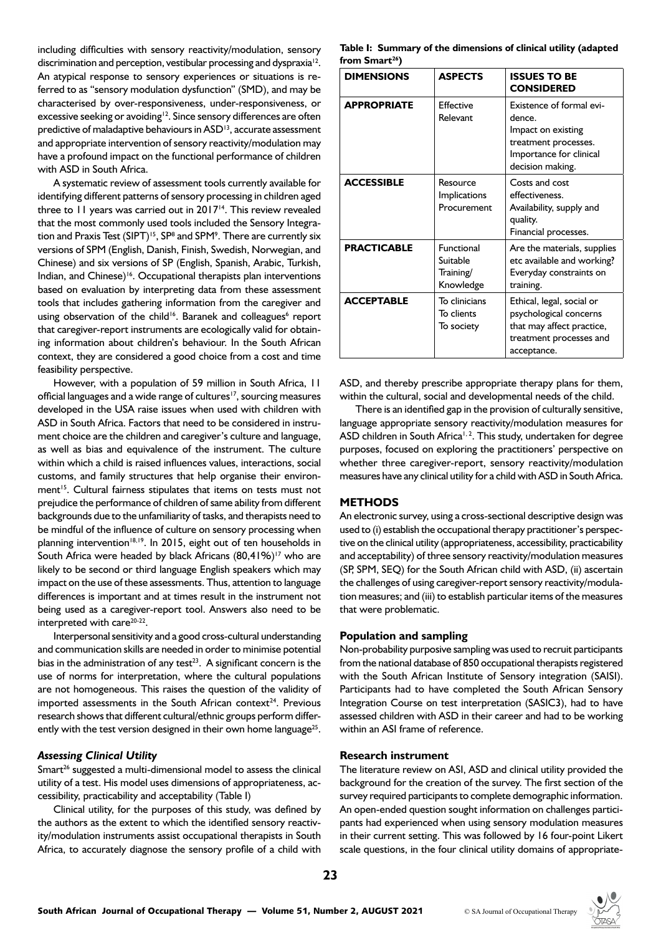including difficulties with sensory reactivity/modulation, sensory discrimination and perception, vestibular processing and dyspraxia<sup>12</sup>. An atypical response to sensory experiences or situations is referred to as "sensory modulation dysfunction" (SMD), and may be characterised by over-responsiveness, under-responsiveness, or excessive seeking or avoiding<sup>12</sup>. Since sensory differences are often predictive of maladaptive behaviours in ASD<sup>13</sup>, accurate assessment and appropriate intervention of sensory reactivity/modulation may have a profound impact on the functional performance of children with ASD in South Africa.

A systematic review of assessment tools currently available for identifying different patterns of sensory processing in children aged three to 11 years was carried out in 2017<sup>14</sup>. This review revealed that the most commonly used tools included the Sensory Integration and Praxis Test (SIPT)<sup>15</sup>, SP<sup>8</sup> and SPM<sup>9</sup>. There are currently six versions of SPM (English, Danish, Finish, Swedish, Norwegian, and Chinese) and six versions of SP (English, Spanish, Arabic, Turkish, Indian, and Chinese)<sup>16</sup>. Occupational therapists plan interventions based on evaluation by interpreting data from these assessment tools that includes gathering information from the caregiver and using observation of the child<sup>16</sup>. Baranek and colleagues<sup>6</sup> report that caregiver-report instruments are ecologically valid for obtaining information about children's behaviour. In the South African context, they are considered a good choice from a cost and time feasibility perspective.

However, with a population of 59 million in South Africa, 11 official languages and a wide range of cultures<sup>17</sup>, sourcing measures developed in the USA raise issues when used with children with ASD in South Africa. Factors that need to be considered in instrument choice are the children and caregiver's culture and language, as well as bias and equivalence of the instrument. The culture within which a child is raised influences values, interactions, social customs, and family structures that help organise their environment<sup>15</sup>. Cultural fairness stipulates that items on tests must not prejudice the performance of children of same ability from different backgrounds due to the unfamiliarity of tasks, and therapists need to be mindful of the influence of culture on sensory processing when planning intervention<sup>18,19</sup>. In 2015, eight out of ten households in South Africa were headed by black Africans  $(80,41\%)$ <sup>17</sup> who are likely to be second or third language English speakers which may impact on the use of these assessments. Thus, attention to language differences is important and at times result in the instrument not being used as a caregiver-report tool. Answers also need to be interpreted with care<sup>20-22</sup>.

Interpersonal sensitivity and a good cross-cultural understanding and communication skills are needed in order to minimise potential bias in the administration of any test<sup>23</sup>. A significant concern is the use of norms for interpretation, where the cultural populations are not homogeneous. This raises the question of the validity of imported assessments in the South African context<sup>24</sup>. Previous research shows that different cultural/ethnic groups perform differently with the test version designed in their own home language<sup>25</sup>.

# *Assessing Clinical Utility*

Smart<sup>26</sup> suggested a multi-dimensional model to assess the clinical utility of a test. His model uses dimensions of appropriateness, accessibility, practicability and acceptability (Table I)

Clinical utility, for the purposes of this study, was defined by the authors as the extent to which the identified sensory reactivity/modulation instruments assist occupational therapists in South Africa, to accurately diagnose the sensory profile of a child with

**Table I: Summary of the dimensions of clinical utility (adapted from Smart26)**

| <b>DIMENSIONS</b>  | <b>ASPECTS</b>                                          | <b>ISSUES TO BE</b><br><b>CONSIDERED</b>                                                                                        |  |
|--------------------|---------------------------------------------------------|---------------------------------------------------------------------------------------------------------------------------------|--|
| <b>APPROPRIATE</b> | Effective<br>Relevant                                   | Existence of formal evi-<br>dence.<br>Impact on existing<br>treatment processes.<br>Importance for clinical<br>decision making. |  |
| <b>ACCESSIBLE</b>  | Resource<br>Implications<br>Procurement                 | Costs and cost<br>effectiveness.<br>Availability, supply and<br>quality.<br>Financial processes.                                |  |
| <b>PRACTICABLE</b> | <b>Functional</b><br>Suitable<br>Training/<br>Knowledge | Are the materials, supplies<br>etc available and working?<br>Everyday constraints on<br>training.                               |  |
| <b>ACCEPTABLE</b>  | To clinicians<br>To clients<br>To society               | Ethical, legal, social or<br>psychological concerns<br>that may affect practice,<br>treatment processes and<br>acceptance.      |  |

ASD, and thereby prescribe appropriate therapy plans for them, within the cultural, social and developmental needs of the child.

There is an identified gap in the provision of culturally sensitive, language appropriate sensory reactivity/modulation measures for ASD children in South Africa<sup>1, 2</sup>. This study, undertaken for degree purposes, focused on exploring the practitioners' perspective on whether three caregiver-report, sensory reactivity/modulation measures have any clinical utility for a child with ASD in South Africa.

# **METHODS**

An electronic survey, using a cross-sectional descriptive design was used to (i) establish the occupational therapy practitioner's perspective on the clinical utility (appropriateness, accessibility, practicability and acceptability) of three sensory reactivity/modulation measures (SP, SPM, SEQ) for the South African child with ASD, (ii) ascertain the challenges of using caregiver-report sensory reactivity/modulation measures; and (iii) to establish particular items of the measures that were problematic.

#### **Population and sampling**

Non-probability purposive sampling was used to recruit participants from the national database of 850 occupational therapists registered with the South African Institute of Sensory integration (SAISI). Participants had to have completed the South African Sensory Integration Course on test interpretation (SASIC3), had to have assessed children with ASD in their career and had to be working within an ASI frame of reference.

#### **Research instrument**

The literature review on ASI, ASD and clinical utility provided the background for the creation of the survey. The first section of the survey required participants to complete demographic information. An open-ended question sought information on challenges participants had experienced when using sensory modulation measures in their current setting. This was followed by 16 four-point Likert scale questions, in the four clinical utility domains of appropriate-

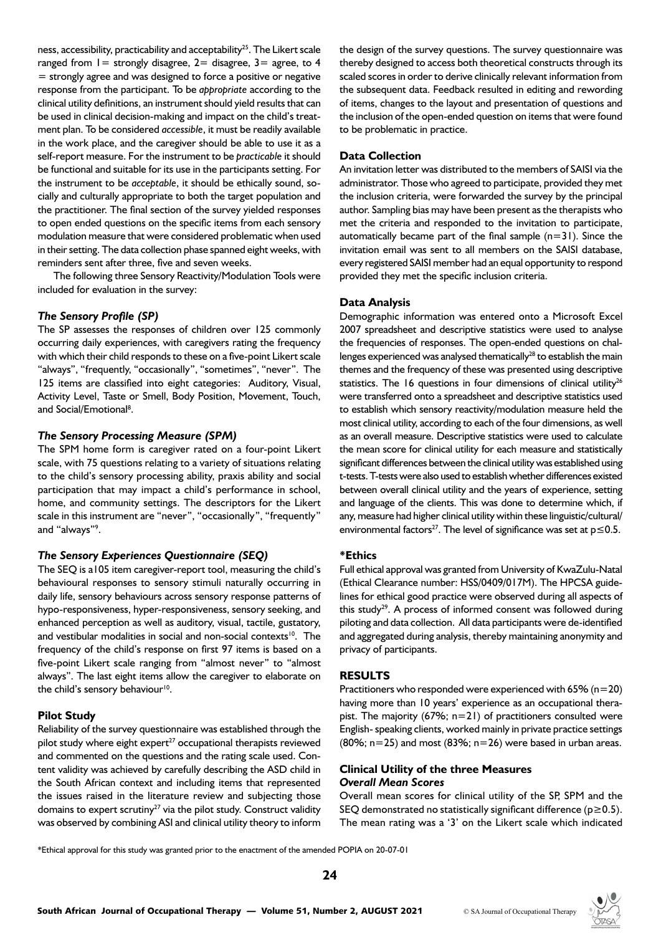ness, accessibility, practicability and acceptability<sup>25</sup>. The Likert scale ranged from  $l =$  strongly disagree,  $2 =$  disagree,  $3 =$  agree, to 4 = strongly agree and was designed to force a positive or negative response from the participant. To be *appropriate* according to the clinical utility definitions, an instrument should yield results that can be used in clinical decision-making and impact on the child's treatment plan. To be considered *accessible*, it must be readily available in the work place, and the caregiver should be able to use it as a self-report measure. For the instrument to be *practicable* it should be functional and suitable for its use in the participants setting. For the instrument to be *acceptable*, it should be ethically sound, socially and culturally appropriate to both the target population and the practitioner. The final section of the survey yielded responses to open ended questions on the specific items from each sensory modulation measure that were considered problematic when used in their setting. The data collection phase spanned eight weeks, with reminders sent after three, five and seven weeks.

The following three Sensory Reactivity/Modulation Tools were included for evaluation in the survey:

# *The Sensory Profile (SP)*

The SP assesses the responses of children over 125 commonly occurring daily experiences, with caregivers rating the frequency with which their child responds to these on a five-point Likert scale "always", "frequently, "occasionally", "sometimes", "never". The 125 items are classified into eight categories: Auditory, Visual, Activity Level, Taste or Smell, Body Position, Movement, Touch, and Social/Emotional<sup>8</sup>.

## *The Sensory Processing Measure (SPM)*

The SPM home form is caregiver rated on a four-point Likert scale, with 75 questions relating to a variety of situations relating to the child's sensory processing ability, praxis ability and social participation that may impact a child's performance in school, home, and community settings. The descriptors for the Likert scale in this instrument are "never", "occasionally", "frequently" and "always"<sup>9</sup>.

## *The Sensory Experiences Questionnaire (SEQ)*

The SEQ is a105 item caregiver-report tool, measuring the child's behavioural responses to sensory stimuli naturally occurring in daily life, sensory behaviours across sensory response patterns of hypo-responsiveness, hyper-responsiveness, sensory seeking, and enhanced perception as well as auditory, visual, tactile, gustatory, and vestibular modalities in social and non-social contexts<sup>10</sup>. The frequency of the child's response on first 97 items is based on a five-point Likert scale ranging from "almost never" to "almost always". The last eight items allow the caregiver to elaborate on the child's sensory behaviour<sup>10</sup>.

## **Pilot Study**

Reliability of the survey questionnaire was established through the pilot study where eight expert<sup>27</sup> occupational therapists reviewed and commented on the questions and the rating scale used. Content validity was achieved by carefully describing the ASD child in the South African context and including items that represented the issues raised in the literature review and subjecting those domains to expert scrutiny<sup>27</sup> via the pilot study. Construct validity was observed by combining ASI and clinical utility theory to inform

the design of the survey questions. The survey questionnaire was thereby designed to access both theoretical constructs through its scaled scores in order to derive clinically relevant information from the subsequent data. Feedback resulted in editing and rewording of items, changes to the layout and presentation of questions and the inclusion of the open-ended question on items that were found to be problematic in practice.

## **Data Collection**

An invitation letter was distributed to the members of SAISI via the administrator. Those who agreed to participate, provided they met the inclusion criteria, were forwarded the survey by the principal author. Sampling bias may have been present as the therapists who met the criteria and responded to the invitation to participate, automatically became part of the final sample  $(n=31)$ . Since the invitation email was sent to all members on the SAISI database, every registered SAISI member had an equal opportunity to respond provided they met the specific inclusion criteria.

#### **Data Analysis**

Demographic information was entered onto a Microsoft Excel 2007 spreadsheet and descriptive statistics were used to analyse the frequencies of responses. The open-ended questions on challenges experienced was analysed thematically<sup>28</sup> to establish the main themes and the frequency of these was presented using descriptive statistics. The 16 questions in four dimensions of clinical utility<sup>26</sup> were transferred onto a spreadsheet and descriptive statistics used to establish which sensory reactivity/modulation measure held the most clinical utility, according to each of the four dimensions, as well as an overall measure. Descriptive statistics were used to calculate the mean score for clinical utility for each measure and statistically significant differences between the clinical utility was established using t-tests. T-tests were also used to establish whether differences existed between overall clinical utility and the years of experience, setting and language of the clients. This was done to determine which, if any, measure had higher clinical utility within these linguistic/cultural/ environmental factors<sup>27</sup>. The level of significance was set at  $p \le 0.5$ .

#### **\*Ethics**

Full ethical approval was granted from University of KwaZulu-Natal (Ethical Clearance number: HSS/0409/017M). The HPCSA guidelines for ethical good practice were observed during all aspects of this study<sup>29</sup>. A process of informed consent was followed during piloting and data collection. All data participants were de-identified and aggregated during analysis, thereby maintaining anonymity and privacy of participants.

## **RESULTS**

Practitioners who responded were experienced with  $65\%$  (n=20) having more than 10 years' experience as an occupational therapist. The majority  $(67\%; n=21)$  of practitioners consulted were English- speaking clients, worked mainly in private practice settings  $(80\%; n=25)$  and most  $(83\%; n=26)$  were based in urban areas.

# **Clinical Utility of the three Measures**  *Overall Mean Scores*

Overall mean scores for clinical utility of the SP, SPM and the SEQ demonstrated no statistically significant difference ( $p \ge 0.5$ ). The mean rating was a '3' on the Likert scale which indicated

\*Ethical approval for this study was granted prior to the enactment of the amended POPIA on 20-07-01

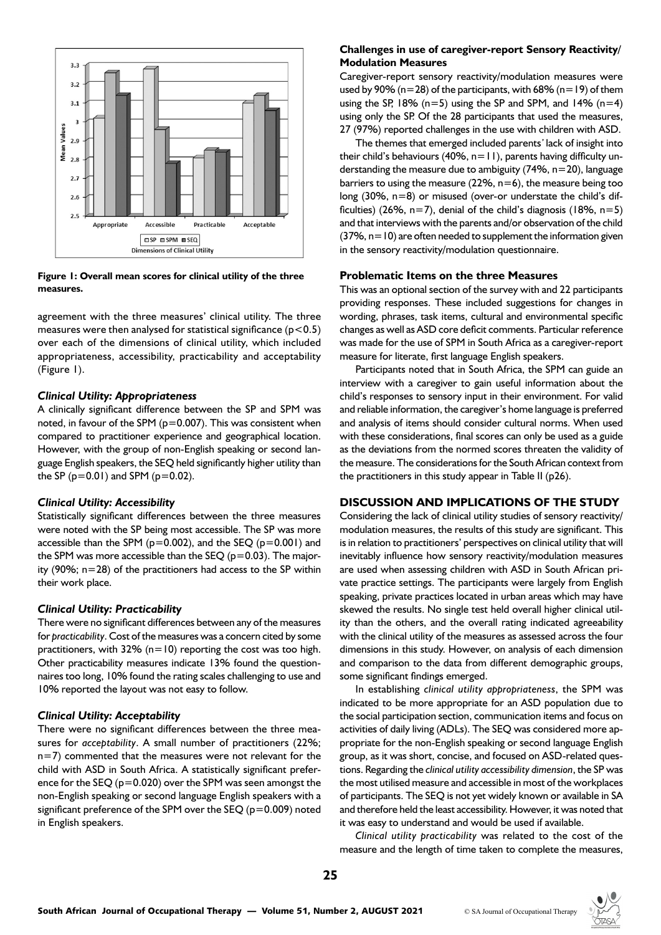

## **Figure 1: Overall mean scores for clinical utility of the three measures.**

agreement with the three measures' clinical utility. The three measures were then analysed for statistical significance ( $p$  < 0.5) over each of the dimensions of clinical utility, which included appropriateness, accessibility, practicability and acceptability (Figure 1).

## *Clinical Utility: Appropriateness*

A clinically significant difference between the SP and SPM was noted, in favour of the SPM ( $p=0.007$ ). This was consistent when compared to practitioner experience and geographical location. However, with the group of non-English speaking or second language English speakers, the SEQ held significantly higher utility than the SP ( $p=0.01$ ) and SPM ( $p=0.02$ ).

## *Clinical Utility: Accessibility*

Statistically significant differences between the three measures were noted with the SP being most accessible. The SP was more accessible than the SPM ( $p=0.002$ ), and the SEQ ( $p=0.001$ ) and the SPM was more accessible than the SEQ ( $p=0.03$ ). The majority (90%; n=28) of the practitioners had access to the SP within their work place.

## *Clinical Utility: Practicability*

There were no significant differences between any of the measures for *practicability*. Cost of the measures was a concern cited by some practitioners, with 32% ( $n=10$ ) reporting the cost was too high. Other practicability measures indicate 13% found the questionnaires too long, 10% found the rating scales challenging to use and 10% reported the layout was not easy to follow.

## *Clinical Utility: Acceptability*

There were no significant differences between the three measures for *acceptability*. A small number of practitioners (22%; n=7) commented that the measures were not relevant for the child with ASD in South Africa. A statistically significant preference for the SEQ (p=0.020) over the SPM was seen amongst the non-English speaking or second language English speakers with a significant preference of the SPM over the SEQ ( $p=0.009$ ) noted in English speakers.

## **Challenges in use of caregiver-report Sensory Reactivity/ Modulation Measures**

Caregiver-report sensory reactivity/modulation measures were used by 90% ( $n=28$ ) of the participants, with 68% ( $n=19$ ) of them using the SP, 18% ( $n=5$ ) using the SP and SPM, and 14% ( $n=4$ ) using only the SP. Of the 28 participants that used the measures, 27 (97%) reported challenges in the use with children with ASD.

The themes that emerged included parents*'* lack of insight into their child's behaviours (40%,  $n=11$ ), parents having difficulty understanding the measure due to ambiguity (74%,  $n=20$ ), language barriers to using the measure ( $22\%$ ,  $n=6$ ), the measure being too long (30%, n=8) or misused (over-or understate the child's difficulties) (26%,  $n=7$ ), denial of the child's diagnosis (18%,  $n=5$ ) and that interviews with the parents and/or observation of the child  $(37\%$ , n=10) are often needed to supplement the information given in the sensory reactivity/modulation questionnaire.

#### **Problematic Items on the three Measures**

This was an optional section of the survey with and 22 participants providing responses. These included suggestions for changes in wording, phrases, task items, cultural and environmental specific changes as well as ASD core deficit comments. Particular reference was made for the use of SPM in South Africa as a caregiver-report measure for literate, first language English speakers.

Participants noted that in South Africa, the SPM can guide an interview with a caregiver to gain useful information about the child's responses to sensory input in their environment. For valid and reliable information, the caregiver's home language is preferred and analysis of items should consider cultural norms. When used with these considerations, final scores can only be used as a guide as the deviations from the normed scores threaten the validity of the measure. The considerations for the South African context from the practitioners in this study appear in Table II (p26).

# **DISCUSSION AND IMPLICATIONS OF THE STUDY**

Considering the lack of clinical utility studies of sensory reactivity/ modulation measures, the results of this study are significant. This is in relation to practitioners' perspectives on clinical utility that will inevitably influence how sensory reactivity/modulation measures are used when assessing children with ASD in South African private practice settings. The participants were largely from English speaking, private practices located in urban areas which may have skewed the results. No single test held overall higher clinical utility than the others, and the overall rating indicated agreeability with the clinical utility of the measures as assessed across the four dimensions in this study. However, on analysis of each dimension and comparison to the data from different demographic groups, some significant findings emerged.

In establishing *clinical utility appropriateness*, the SPM was indicated to be more appropriate for an ASD population due to the social participation section, communication items and focus on activities of daily living (ADLs). The SEQ was considered more appropriate for the non-English speaking or second language English group, as it was short, concise, and focused on ASD-related questions. Regarding the *clinical utility accessibility dimension*, the SP was the most utilised measure and accessible in most of the workplaces of participants. The SEQ is not yet widely known or available in SA and therefore held the least accessibility. However, it was noted that it was easy to understand and would be used if available.

*Clinical utility practicability* was related to the cost of the measure and the length of time taken to complete the measures,

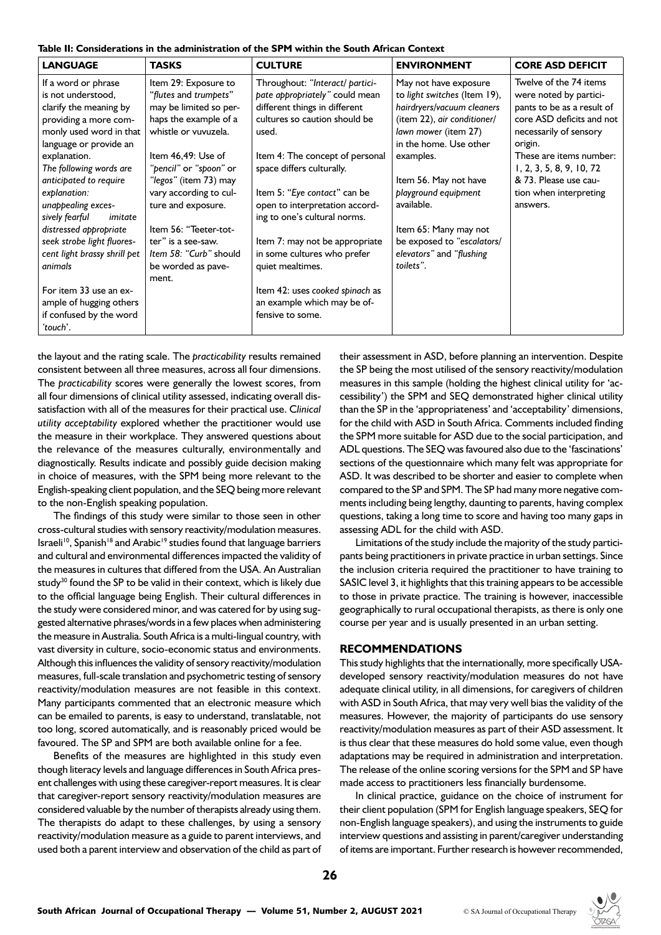**Table II: Considerations in the administration of the SPM within the South African Context**

| <b>LANGUAGE</b>                                                                                                                                                   | <b>TASKS</b>                                                                                                                                   | <b>CULTURE</b>                                                                                                                                                                  | <b>ENVIRONMENT</b>                                                                                                                                                                | <b>CORE ASD DEFICIT</b>                                                                                                                                                     |
|-------------------------------------------------------------------------------------------------------------------------------------------------------------------|------------------------------------------------------------------------------------------------------------------------------------------------|---------------------------------------------------------------------------------------------------------------------------------------------------------------------------------|-----------------------------------------------------------------------------------------------------------------------------------------------------------------------------------|-----------------------------------------------------------------------------------------------------------------------------------------------------------------------------|
| If a word or phrase<br>is not understood,<br>clarify the meaning by<br>providing a more com-<br>monly used word in that<br>language or provide an<br>explanation. | Item 29: Exposure to<br>"flutes and trumpets"<br>may be limited so per-<br>haps the example of a<br>whistle or vuvuzela.<br>Item 46,49: Use of | Throughout: "Interact/ partici-<br>pate appropriately" could mean<br>different things in different<br>cultures so caution should be<br>used.<br>Item 4: The concept of personal | May not have exposure<br>to light switches (Item 19),<br>hairdryers/vacuum cleaners<br>(item 22), air conditioner/<br>lawn mower (item 27)<br>in the home. Use other<br>examples. | Twelve of the 74 items<br>were noted by partici-<br>pants to be as a result of<br>core ASD deficits and not<br>necessarily of sensory<br>origin.<br>These are items number: |
| The following words are<br>anticipated to require                                                                                                                 | "pencil" or "spoon" or<br>"legos" (item 73) may                                                                                                | space differs culturally.                                                                                                                                                       | Item 56. May not have                                                                                                                                                             | 1, 2, 3, 5, 8, 9, 10, 72<br>& 73. Please use cau-                                                                                                                           |
| explanation:<br>unappealing exces-<br>sively fearful<br>imitate                                                                                                   | vary according to cul-<br>ture and exposure.                                                                                                   | Item 5: "Eye contact" can be<br>open to interpretation accord-<br>ing to one's cultural norms.                                                                                  | playground equipment<br>available.                                                                                                                                                | tion when interpreting<br>answers.                                                                                                                                          |
| distressed appropriate<br>seek strobe light fluores-<br>cent light brassy shrill pet<br>animals                                                                   | Item 56: "Teeter-tot-<br>ter" is a see-saw.<br>Item 58: "Curb" should<br>be worded as pave-<br>ment.                                           | Item 7: may not be appropriate<br>in some cultures who prefer<br>quiet mealtimes.                                                                                               | Item 65: Many may not<br>be exposed to "escalators/<br>elevators" and "flushing<br>toilets".                                                                                      |                                                                                                                                                                             |
| For item 33 use an ex-<br>ample of hugging others<br>if confused by the word<br>'touch'.                                                                          |                                                                                                                                                | Item 42: uses cooked spinach as<br>an example which may be of-<br>fensive to some.                                                                                              |                                                                                                                                                                                   |                                                                                                                                                                             |

the layout and the rating scale. The *practicability* results remained consistent between all three measures, across all four dimensions. The *practicability* scores were generally the lowest scores, from all four dimensions of clinical utility assessed, indicating overall dissatisfaction with all of the measures for their practical use. C*linical utility acceptability* explored whether the practitioner would use the measure in their workplace. They answered questions about the relevance of the measures culturally, environmentally and diagnostically. Results indicate and possibly guide decision making in choice of measures, with the SPM being more relevant to the English-speaking client population, and the SEQ being more relevant to the non-English speaking population.

The findings of this study were similar to those seen in other cross-cultural studies with sensory reactivity/modulation measures. Israeli<sup>10</sup>, Spanish<sup>18</sup> and Arabic<sup>19</sup> studies found that language barriers and cultural and environmental differences impacted the validity of the measures in cultures that differed from the USA. An Australian study<sup>30</sup> found the SP to be valid in their context, which is likely due to the official language being English. Their cultural differences in the study were considered minor, and was catered for by using suggested alternative phrases/words in a few places when administering the measure in Australia. South Africa is a multi-lingual country, with vast diversity in culture, socio-economic status and environments. Although this influences the validity of sensory reactivity/modulation measures, full-scale translation and psychometric testing of sensory reactivity/modulation measures are not feasible in this context. Many participants commented that an electronic measure which can be emailed to parents, is easy to understand, translatable, not too long, scored automatically, and is reasonably priced would be favoured. The SP and SPM are both available online for a fee.

Benefits of the measures are highlighted in this study even though literacy levels and language differences in South Africa present challenges with using these caregiver-report measures. It is clear that caregiver-report sensory reactivity/modulation measures are considered valuable by the number of therapists already using them. The therapists do adapt to these challenges, by using a sensory reactivity/modulation measure as a guide to parent interviews, and used both a parent interview and observation of the child as part of

their assessment in ASD, before planning an intervention. Despite the SP being the most utilised of the sensory reactivity/modulation measures in this sample (holding the highest clinical utility for 'accessibility') the SPM and SEQ demonstrated higher clinical utility than the SP in the 'appropriateness' and 'acceptability' dimensions, for the child with ASD in South Africa. Comments included finding the SPM more suitable for ASD due to the social participation, and ADL questions. The SEQ was favoured also due to the 'fascinations' sections of the questionnaire which many felt was appropriate for ASD. It was described to be shorter and easier to complete when compared to the SP and SPM. The SP had many more negative comments including being lengthy, daunting to parents, having complex questions, taking a long time to score and having too many gaps in assessing ADL for the child with ASD.

Limitations of the study include the majority of the study participants being practitioners in private practice in urban settings. Since the inclusion criteria required the practitioner to have training to SASIC level 3, it highlights that this training appears to be accessible to those in private practice. The training is however, inaccessible geographically to rural occupational therapists, as there is only one course per year and is usually presented in an urban setting.

## **RECOMMENDATIONS**

This study highlights that the internationally, more specifically USAdeveloped sensory reactivity/modulation measures do not have adequate clinical utility, in all dimensions, for caregivers of children with ASD in South Africa, that may very well bias the validity of the measures. However, the majority of participants do use sensory reactivity/modulation measures as part of their ASD assessment. It is thus clear that these measures do hold some value, even though adaptations may be required in administration and interpretation. The release of the online scoring versions for the SPM and SP have made access to practitioners less financially burdensome.

In clinical practice, guidance on the choice of instrument for their client population (SPM for English language speakers, SEQ for non-English language speakers), and using the instruments to guide interview questions and assisting in parent/caregiver understanding of items are important. Further research is however recommended,

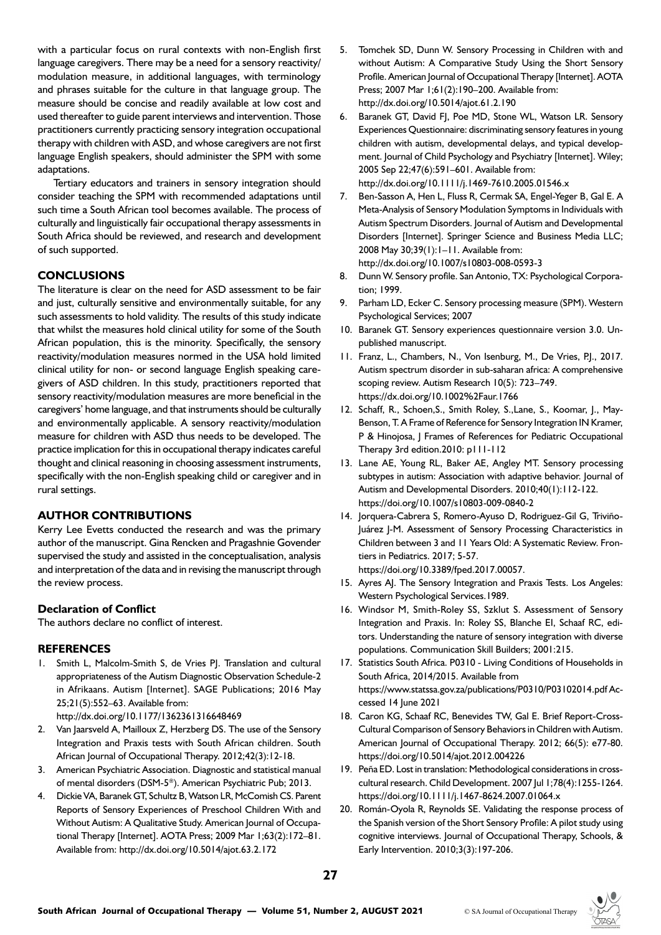with a particular focus on rural contexts with non-English first language caregivers. There may be a need for a sensory reactivity/ modulation measure, in additional languages, with terminology and phrases suitable for the culture in that language group. The measure should be concise and readily available at low cost and used thereafter to guide parent interviews and intervention. Those practitioners currently practicing sensory integration occupational therapy with children with ASD, and whose caregivers are not first language English speakers, should administer the SPM with some adaptations.

Tertiary educators and trainers in sensory integration should consider teaching the SPM with recommended adaptations until such time a South African tool becomes available. The process of culturally and linguistically fair occupational therapy assessments in South Africa should be reviewed, and research and development of such supported.

# **CONCLUSIONS**

The literature is clear on the need for ASD assessment to be fair and just, culturally sensitive and environmentally suitable, for any such assessments to hold validity. The results of this study indicate that whilst the measures hold clinical utility for some of the South African population, this is the minority. Specifically, the sensory reactivity/modulation measures normed in the USA hold limited clinical utility for non- or second language English speaking caregivers of ASD children. In this study, practitioners reported that sensory reactivity/modulation measures are more beneficial in the caregivers' home language, and that instruments should be culturally and environmentally applicable. A sensory reactivity/modulation measure for children with ASD thus needs to be developed. The practice implication for this in occupational therapy indicates careful thought and clinical reasoning in choosing assessment instruments, specifically with the non-English speaking child or caregiver and in rural settings.

# **AUTHOR CONTRIBUTIONS**

Kerry Lee Evetts conducted the research and was the primary author of the manuscript. Gina Rencken and Pragashnie Govender supervised the study and assisted in the conceptualisation, analysis and interpretation of the data and in revising the manuscript through the review process.

# **Declaration of Conflict**

The authors declare no conflict of interest.

# **REFERENCES**

1. Smith L, Malcolm-Smith S, de Vries PJ. Translation and cultural appropriateness of the Autism Diagnostic Observation Schedule-2 in Afrikaans. Autism [Internet]. SAGE Publications; 2016 May 25;21(5):552–63. Available from:

http://dx.doi.org/10.1177/1362361316648469

- 2. Van Jaarsveld A, Mailloux Z, Herzberg DS. The use of the Sensory Integration and Praxis tests with South African children. South African Journal of Occupational Therapy. 2012;42(3):12-18.
- 3. American Psychiatric Association. Diagnostic and statistical manual of mental disorders (DSM-5®). American Psychiatric Pub; 2013.
- 4. Dickie VA, Baranek GT, Schultz B, Watson LR, McComish CS. Parent Reports of Sensory Experiences of Preschool Children With and Without Autism: A Qualitative Study. American Journal of Occupational Therapy [Internet]. AOTA Press; 2009 Mar 1;63(2):172–81. Available from: http://dx.doi.org/10.5014/ajot.63.2.172
- 5. Tomchek SD, Dunn W. Sensory Processing in Children with and without Autism: A Comparative Study Using the Short Sensory Profile. American Journal of Occupational Therapy [Internet]. AOTA Press; 2007 Mar 1;61(2):190–200. Available from: http://dx.doi.org/10.5014/ajot.61.2.190
- 6. Baranek GT, David FJ, Poe MD, Stone WL, Watson LR. Sensory Experiences Questionnaire: discriminating sensory features in young children with autism, developmental delays, and typical development. Journal of Child Psychology and Psychiatry [Internet]. Wiley; 2005 Sep 22;47(6):591–601. Available from: http://dx.doi.org/10.1111/j.1469-7610.2005.01546.x
- 7. Ben-Sasson A, Hen L, Fluss R, Cermak SA, Engel-Yeger B, Gal E. A Meta-Analysis of Sensory Modulation Symptoms in Individuals with Autism Spectrum Disorders. Journal of Autism and Developmental Disorders [Internet]. Springer Science and Business Media LLC; 2008 May 30;39(1):1–11. Available from: http://dx.doi.org/10.1007/s10803-008-0593-3
- 8. Dunn W. Sensory profile. San Antonio, TX: Psychological Corporation; 1999.
- 9. Parham LD, Ecker C. Sensory processing measure (SPM). Western Psychological Services; 2007
- 10. Baranek GT. Sensory experiences questionnaire version 3.0. Unpublished manuscript.
- 11. Franz, L., Chambers, N., Von Isenburg, M., De Vries, P.J., 2017. Autism spectrum disorder in sub-saharan africa: A comprehensive scoping review. Autism Research 10(5): 723–749. https://dx.doi.org/10.1002%2Faur.1766
- 12. Schaff, R., Schoen,S., Smith Roley, S.,Lane, S., Koomar, J., May-Benson, T. A Frame of Reference for Sensory Integration IN Kramer, P & Hinojosa, J Frames of References for Pediatric Occupational Therapy 3rd edition.2010: p111-112
- 13. Lane AE, Young RL, Baker AE, Angley MT. Sensory processing subtypes in autism: Association with adaptive behavior. Journal of Autism and Developmental Disorders. 2010;40(1):112-122. https://doi.org/10.1007/s10803-009-0840-2
- 14. Jorquera-Cabrera S, Romero-Ayuso D, Rodriguez-Gil G, Triviño-Juárez J-M. Assessment of Sensory Processing Characteristics in Children between 3 and 11 Years Old: A Systematic Review. Frontiers in Pediatrics. 2017; 5-57. https://doi.org/10.3389/fped.2017.00057.
- 15. Ayres AJ. The Sensory Integration and Praxis Tests. Los Angeles: Western Psychological Services.1989.
- 16. Windsor M, Smith-Roley SS, Szklut S. Assessment of Sensory Integration and Praxis. In: Roley SS, Blanche EI, Schaaf RC, editors. Understanding the nature of sensory integration with diverse populations. Communication Skill Builders; 2001:215.
- 17. Statistics South Africa. P0310 Living Conditions of Households in South Africa, 2014/2015. Available from https://www.statssa.gov.za/publications/P0310/P03102014.pdf Accessed 14 June 2021
- 18. Caron KG, Schaaf RC, Benevides TW, Gal E. Brief Report-Cross-Cultural Comparison of Sensory Behaviors in Children with Autism. American Journal of Occupational Therapy. 2012; 66(5): e77-80. https://doi.org/10.5014/ajot.2012.004226
- 19. Peña ED. Lost in translation: Methodological considerations in crosscultural research. Child Development. 2007 Jul 1;78(4):1255-1264. https://doi.org/10.1111/j.1467-8624.2007.01064.x
- 20. Román-Oyola R, Reynolds SE. Validating the response process of the Spanish version of the Short Sensory Profile: A pilot study using cognitive interviews. Journal of Occupational Therapy, Schools, & Early Intervention. 2010;3(3):197-206.